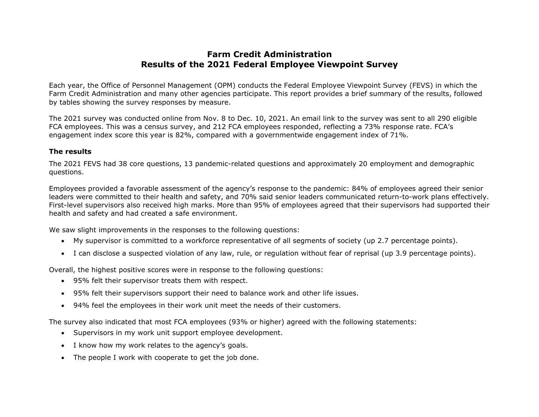# **Farm Credit Administration Results of the 2021 Federal Employee Viewpoint Survey**

Each year, the Office of Personnel Management (OPM) conducts the Federal Employee Viewpoint Survey (FEVS) in which the Farm Credit Administration and many other agencies participate. This report provides a brief summary of the results, followed by tables showing the survey responses by measure.

The 2021 survey was conducted online from Nov. 8 to Dec. 10, 2021. An email link to the survey was sent to all 290 eligible FCA employees. This was a census survey, and 212 FCA employees responded, reflecting a 73% response rate. FCA's engagement index score this year is 82%, compared with a governmentwide engagement index of 71%.

#### **The results**

The 2021 FEVS had 38 core questions, 13 pandemic-related questions and approximately 20 employment and demographic questions.

Employees provided a favorable assessment of the agency's response to the pandemic: 84% of employees agreed their senior leaders were committed to their health and safety, and 70% said senior leaders communicated return-to-work plans effectively. First-level supervisors also received high marks. More than 95% of employees agreed that their supervisors had supported their health and safety and had created a safe environment.

We saw slight improvements in the responses to the following questions:

- My supervisor is committed to a workforce representative of all segments of society (up 2.7 percentage points).
- I can disclose a suspected violation of any law, rule, or regulation without fear of reprisal (up 3.9 percentage points).

Overall, the highest positive scores were in response to the following questions:

- 95% felt their supervisor treats them with respect.
- 95% felt their supervisors support their need to balance work and other life issues.
- 94% feel the employees in their work unit meet the needs of their customers.

The survey also indicated that most FCA employees (93% or higher) agreed with the following statements:

- Supervisors in my work unit support employee development.
- I know how my work relates to the agency's goals.
- The people I work with cooperate to get the job done.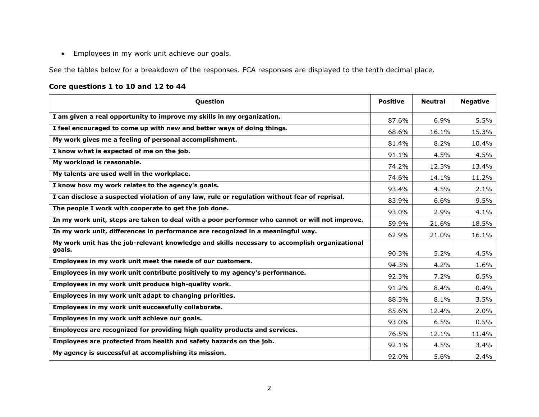• Employees in my work unit achieve our goals.

See the tables below for a breakdown of the responses. FCA responses are displayed to the tenth decimal place.

## **Core questions 1 to 10 and 12 to 44**

| Question                                                                                                | <b>Positive</b> | <b>Neutral</b> | <b>Negative</b> |
|---------------------------------------------------------------------------------------------------------|-----------------|----------------|-----------------|
| I am given a real opportunity to improve my skills in my organization.                                  | 87.6%           | 6.9%           | 5.5%            |
| I feel encouraged to come up with new and better ways of doing things.                                  | 68.6%           | 16.1%          | 15.3%           |
| My work gives me a feeling of personal accomplishment.                                                  | 81.4%           | 8.2%           | 10.4%           |
| I know what is expected of me on the job.                                                               | 91.1%           | 4.5%           | 4.5%            |
| My workload is reasonable.                                                                              | 74.2%           | 12.3%          | 13.4%           |
| My talents are used well in the workplace.                                                              | 74.6%           | 14.1%          | 11.2%           |
| I know how my work relates to the agency's goals.                                                       | 93.4%           | 4.5%           | 2.1%            |
| I can disclose a suspected violation of any law, rule or regulation without fear of reprisal.           | 83.9%           | 6.6%           | 9.5%            |
| The people I work with cooperate to get the job done.                                                   | 93.0%           | 2.9%           | 4.1%            |
| In my work unit, steps are taken to deal with a poor performer who cannot or will not improve.          | 59.9%           | 21.6%          | 18.5%           |
| In my work unit, differences in performance are recognized in a meaningful way.                         | 62.9%           | 21.0%          | 16.1%           |
| My work unit has the job-relevant knowledge and skills necessary to accomplish organizational<br>goals. |                 |                |                 |
| Employees in my work unit meet the needs of our customers.                                              | 90.3%           | 5.2%           | 4.5%            |
|                                                                                                         | 94.3%           | 4.2%           | 1.6%            |
| Employees in my work unit contribute positively to my agency's performance.                             | 92.3%           | 7.2%           | 0.5%            |
| Employees in my work unit produce high-quality work.                                                    | 91.2%           | 8.4%           | 0.4%            |
| Employees in my work unit adapt to changing priorities.                                                 | 88.3%           | 8.1%           | 3.5%            |
| Employees in my work unit successfully collaborate.                                                     | 85.6%           | 12.4%          | 2.0%            |
| Employees in my work unit achieve our goals.                                                            | 93.0%           | 6.5%           | 0.5%            |
| Employees are recognized for providing high quality products and services.                              | 76.5%           | 12.1%          | 11.4%           |
| Employees are protected from health and safety hazards on the job.                                      | 92.1%           | 4.5%           | 3.4%            |
| My agency is successful at accomplishing its mission.                                                   | 92.0%           | 5.6%           | 2.4%            |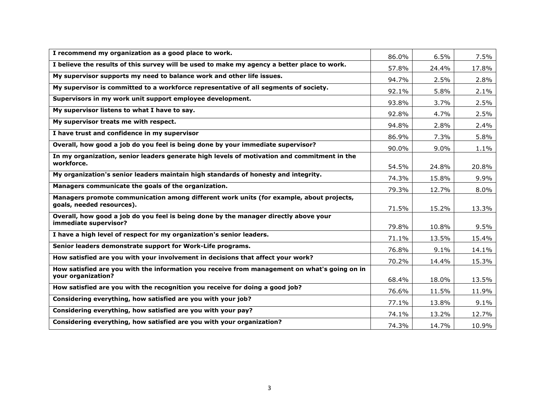| I recommend my organization as a good place to work.                                                                 | 86.0% | 6.5%  | 7.5%  |
|----------------------------------------------------------------------------------------------------------------------|-------|-------|-------|
| I believe the results of this survey will be used to make my agency a better place to work.                          | 57.8% | 24.4% | 17.8% |
| My supervisor supports my need to balance work and other life issues.                                                | 94.7% | 2.5%  | 2.8%  |
| My supervisor is committed to a workforce representative of all segments of society.                                 | 92.1% | 5.8%  | 2.1%  |
| Supervisors in my work unit support employee development.                                                            | 93.8% | 3.7%  | 2.5%  |
| My supervisor listens to what I have to say.                                                                         | 92.8% | 4.7%  | 2.5%  |
| My supervisor treats me with respect.                                                                                | 94.8% | 2.8%  | 2.4%  |
| I have trust and confidence in my supervisor                                                                         | 86.9% | 7.3%  | 5.8%  |
| Overall, how good a job do you feel is being done by your immediate supervisor?                                      | 90.0% | 9.0%  | 1.1%  |
| In my organization, senior leaders generate high levels of motivation and commitment in the<br>workforce.            |       |       |       |
|                                                                                                                      | 54.5% | 24.8% | 20.8% |
| My organization's senior leaders maintain high standards of honesty and integrity.                                   | 74.3% | 15.8% | 9.9%  |
| Managers communicate the goals of the organization.                                                                  | 79.3% | 12.7% | 8.0%  |
| Managers promote communication among different work units (for example, about projects,<br>goals, needed resources). | 71.5% | 15.2% | 13.3% |
| Overall, how good a job do you feel is being done by the manager directly above your                                 |       |       |       |
| immediate supervisor?                                                                                                | 79.8% | 10.8% | 9.5%  |
| I have a high level of respect for my organization's senior leaders.                                                 | 71.1% | 13.5% | 15.4% |
| Senior leaders demonstrate support for Work-Life programs.                                                           | 76.8% | 9.1%  | 14.1% |
| How satisfied are you with your involvement in decisions that affect your work?                                      | 70.2% | 14.4% | 15.3% |
| How satisfied are you with the information you receive from management on what's going on in<br>your organization?   |       |       |       |
|                                                                                                                      | 68.4% | 18.0% | 13.5% |
| How satisfied are you with the recognition you receive for doing a good job?                                         | 76.6% | 11.5% | 11.9% |
| Considering everything, how satisfied are you with your job?                                                         | 77.1% | 13.8% | 9.1%  |
| Considering everything, how satisfied are you with your pay?                                                         | 74.1% | 13.2% | 12.7% |
| Considering everything, how satisfied are you with your organization?                                                | 74.3% | 14.7% | 10.9% |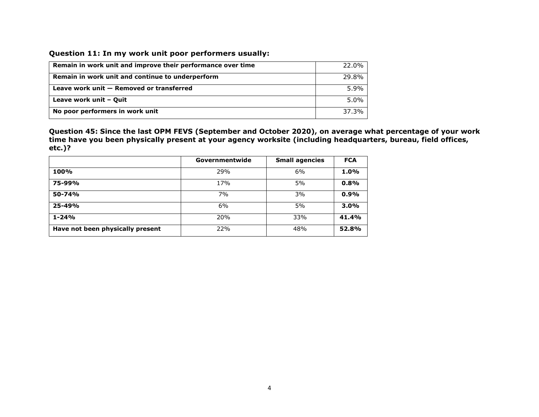|  |  |  | Question 11: In my work unit poor performers usually: |  |
|--|--|--|-------------------------------------------------------|--|
|  |  |  |                                                       |  |

| Remain in work unit and improve their performance over time | 22.0%   |
|-------------------------------------------------------------|---------|
| Remain in work unit and continue to underperform            | 29.8%   |
| Leave work unit - Removed or transferred                    | $5.9\%$ |
| Leave work unit - Quit                                      | 5.0%    |
| No poor performers in work unit                             | 37.3%   |

**Question 45: Since the last OPM FEVS (September and October 2020), on average what percentage of your work time have you been physically present at your agency worksite (including headquarters, bureau, field offices, etc.)?**

|                                  | Governmentwide | <b>Small agencies</b> | <b>FCA</b> |
|----------------------------------|----------------|-----------------------|------------|
| 100%                             | 29%            | 6%                    | 1.0%       |
| 75-99%                           | 17%            | 5%                    | 0.8%       |
| 50-74%                           | 7%             | 3%                    | 0.9%       |
| 25-49%                           | 6%             | 5%                    | 3.0%       |
| $1 - 24%$                        | 20%            | 33%                   | 41.4%      |
| Have not been physically present | 22%            | 48%                   | 52.8%      |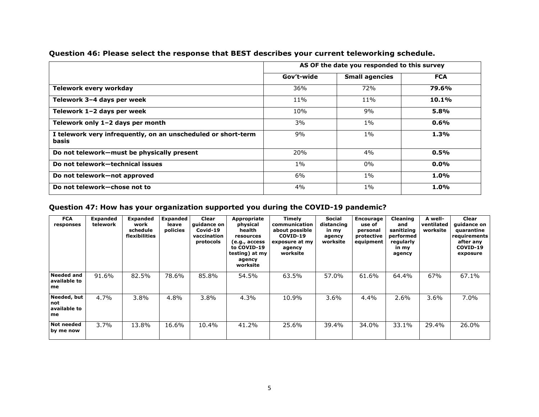|                                                                        | AS OF the date you responded to this survey |                       |              |  |  |
|------------------------------------------------------------------------|---------------------------------------------|-----------------------|--------------|--|--|
|                                                                        | Gov't-wide                                  | <b>Small agencies</b> | <b>FCA</b>   |  |  |
| Telework every workday                                                 | 36%                                         | 72%                   | 79.6%        |  |  |
| Telework 3-4 days per week                                             | 11%                                         | 11%                   | <b>10.1%</b> |  |  |
| Telework 1-2 days per week                                             | 10%                                         | 9%                    | 5.8%         |  |  |
| Telework only 1-2 days per month                                       | 3%                                          | 1%                    | $0.6\%$      |  |  |
| I telework very infrequently, on an unscheduled or short-term<br>basis | 9%                                          | $1\%$                 | 1.3%         |  |  |
| Do not telework-must be physically present                             | 20%                                         | 4%                    | $0.5\%$      |  |  |
| Do not telework-technical issues                                       | $1\%$                                       | $0\%$                 | $0.0\%$      |  |  |
| Do not telework-not approved                                           | 6%                                          | $1\%$                 | 1.0%         |  |  |
| Do not telework-chose not to                                           | 4%                                          | 1%                    | 1.0%         |  |  |

**Question 46: Please select the response that BEST describes your current teleworking schedule.**

## **Question 47: How has your organization supported you during the COVID-19 pandemic?**

| <b>FCA</b><br>responses                   | Expanded<br>telework | <b>Expanded</b><br>work<br>schedule<br>flexibilities | <b>Expanded</b><br>leave<br>policies | Clear<br>quidance on<br>Covid-19<br>vaccination<br>protocols | Appropriate<br>physical<br>health<br>resources<br>(e.g., access<br>to COVID-19<br>testing) at my<br>agency<br>worksite | Timely<br>communication<br>about possible<br>COVID-19<br>exposure at my<br>agency<br>worksite | Social<br>distancing<br>in my<br>agency<br>worksite | <b>Encourage</b><br>use of<br>personal<br>protective<br>equipment | <b>Cleaning</b><br>and<br>sanitizing<br>performed<br>regularly<br>in my<br>agency | A well-<br>ventilated<br>worksite | Clear<br>quidance on<br>quarantine<br>requirements<br>after any<br>COVID-19<br>exposure |
|-------------------------------------------|----------------------|------------------------------------------------------|--------------------------------------|--------------------------------------------------------------|------------------------------------------------------------------------------------------------------------------------|-----------------------------------------------------------------------------------------------|-----------------------------------------------------|-------------------------------------------------------------------|-----------------------------------------------------------------------------------|-----------------------------------|-----------------------------------------------------------------------------------------|
| Needed and<br>available to<br>me          | 91.6%                | 82.5%                                                | 78.6%                                | 85.8%                                                        | 54.5%                                                                                                                  | 63.5%                                                                                         | 57.0%                                               | 61.6%                                                             | 64.4%                                                                             | 67%                               | 67.1%                                                                                   |
| Needed, but<br>not<br>lavailable to<br>me | 4.7%                 | $3.8\%$                                              | 4.8%                                 | $3.8\%$                                                      | 4.3%                                                                                                                   | 10.9%                                                                                         | 3.6%                                                | $4.4\%$                                                           | 2.6%                                                                              | 3.6%                              | 7.0%                                                                                    |
| Not needed <br>by me now                  | 3.7%                 | 13.8%                                                | 16.6%                                | 10.4%                                                        | 41.2%                                                                                                                  | 25.6%                                                                                         | 39.4%                                               | 34.0%                                                             | 33.1%                                                                             | 29.4%                             | 26.0%                                                                                   |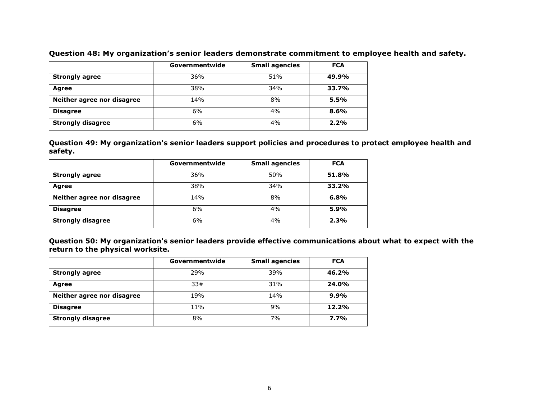|                            | Governmentwide | <b>Small agencies</b> | <b>FCA</b> |
|----------------------------|----------------|-----------------------|------------|
| <b>Strongly agree</b>      | 36%            | 51%                   | 49.9%      |
| <b>Agree</b>               | 38%            | 34%                   | 33.7%      |
| Neither agree nor disagree | 14%            | 8%                    | 5.5%       |
| <b>Disagree</b>            | 6%             | 4%                    | 8.6%       |
| <b>Strongly disagree</b>   | 6%             | 4%                    | 2.2%       |

**Question 48: My organization's senior leaders demonstrate commitment to employee health and safety.**

**Question 49: My organization's senior leaders support policies and procedures to protect employee health and safety.**

|                            | Governmentwide | <b>Small agencies</b> | <b>FCA</b> |
|----------------------------|----------------|-----------------------|------------|
| <b>Strongly agree</b>      | 36%            | 50%                   | 51.8%      |
| <b>Agree</b>               | 38%            | 34%                   | 33.2%      |
| Neither agree nor disagree | 14%            | 8%                    | 6.8%       |
| <b>Disagree</b>            | 6%             | 4%                    | 5.9%       |
| <b>Strongly disagree</b>   | 6%             | 4%                    | 2.3%       |

**Question 50: My organization's senior leaders provide effective communications about what to expect with the return to the physical worksite.**

|                            | Governmentwide | <b>Small agencies</b> | <b>FCA</b> |
|----------------------------|----------------|-----------------------|------------|
| <b>Strongly agree</b>      | 29%            | 39%                   | 46.2%      |
| <b>Agree</b>               | 33#            | 31%                   | 24.0%      |
| Neither agree nor disagree | 19%            | 14%                   | 9.9%       |
| <b>Disagree</b>            | 11%            | 9%                    | 12.2%      |
| <b>Strongly disagree</b>   | 8%             | 7%                    | 7.7%       |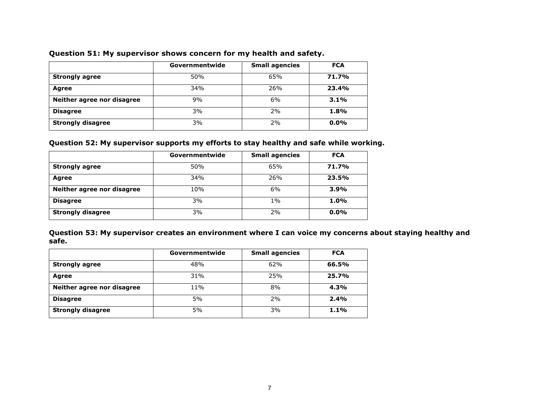|                            | Governmentwide | <b>Small agencies</b> | <b>FCA</b> |
|----------------------------|----------------|-----------------------|------------|
| <b>Strongly agree</b>      | 50%            | 65%                   | 71.7%      |
| <b>Agree</b>               | 34%            | 26%                   | 23.4%      |
| Neither agree nor disagree | 9%             | 6%                    | 3.1%       |
| <b>Disagree</b>            | 3%             | 2%                    | 1.8%       |
| <b>Strongly disagree</b>   | 3%             | 2%                    | 0.0%       |

#### **Question 51: My supervisor shows concern for my health and safety.**

### **Question 52: My supervisor supports my efforts to stay healthy and safe while working.**

|                            | Governmentwide | <b>Small agencies</b> | <b>FCA</b> |
|----------------------------|----------------|-----------------------|------------|
| <b>Strongly agree</b>      | 50%            | 65%                   | 71.7%      |
| <b>Agree</b>               | 34%            | 26%                   | 23.5%      |
| Neither agree nor disagree | 10%            | 6%                    | 3.9%       |
| <b>Disagree</b>            | 3%             | 1%                    | 1.0%       |
| <b>Strongly disagree</b>   | 3%             | 2%                    | $0.0\%$    |

**Question 53: My supervisor creates an environment where I can voice my concerns about staying healthy and safe.**

|                            | Governmentwide | <b>Small agencies</b> | <b>FCA</b> |
|----------------------------|----------------|-----------------------|------------|
| <b>Strongly agree</b>      | 48%            | 62%                   | 66.5%      |
| Agree                      | 31%            | 25%                   | 25.7%      |
| Neither agree nor disagree | 11%            | 8%                    | 4.3%       |
| <b>Disagree</b>            | 5%             | 2%                    | 2.4%       |
| <b>Strongly disagree</b>   | 5%             | 3%                    | 1.1%       |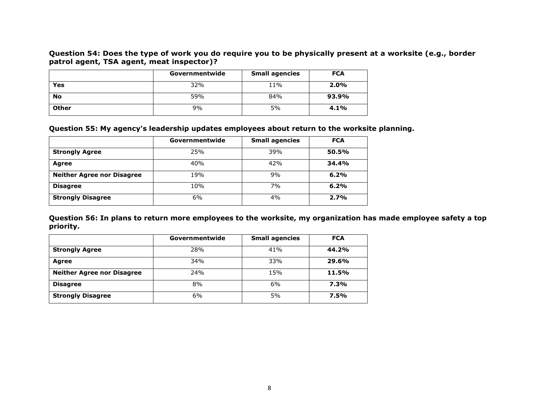**Question 54: Does the type of work you do require you to be physically present at a worksite (e.g., border patrol agent, TSA agent, meat inspector)?**

|              | Governmentwide | <b>Small agencies</b> | <b>FCA</b> |
|--------------|----------------|-----------------------|------------|
| Yes          | 32%            | 11%                   | 2.0%       |
| <b>No</b>    | 59%            | 84%                   | 93.9%      |
| <b>Other</b> | 9%             | 5%                    | 4.1%       |

**Question 55: My agency's leadership updates employees about return to the worksite planning.**

|                                   | Governmentwide | <b>Small agencies</b> | <b>FCA</b> |
|-----------------------------------|----------------|-----------------------|------------|
| <b>Strongly Agree</b>             | 25%            | 39%                   | 50.5%      |
| <b>Agree</b>                      | 40%            | 42%                   | 34.4%      |
| <b>Neither Agree nor Disagree</b> | 19%            | 9%                    | 6.2%       |
| <b>Disagree</b>                   | 10%            | 7%                    | 6.2%       |
| <b>Strongly Disagree</b>          | 6%             | 4%                    | 2.7%       |

**Question 56: In plans to return more employees to the worksite, my organization has made employee safety a top priority.**

|                                   | Governmentwide | <b>Small agencies</b> | <b>FCA</b> |
|-----------------------------------|----------------|-----------------------|------------|
| <b>Strongly Agree</b>             | 28%            | 41%                   | 44.2%      |
| <b>Agree</b>                      | 34%            | 33%                   | 29.6%      |
| <b>Neither Agree nor Disagree</b> | 24%            | 15%                   | 11.5%      |
| <b>Disagree</b>                   | 8%             | 6%                    | 7.3%       |
| <b>Strongly Disagree</b>          | 6%             | 5%                    | 7.5%       |